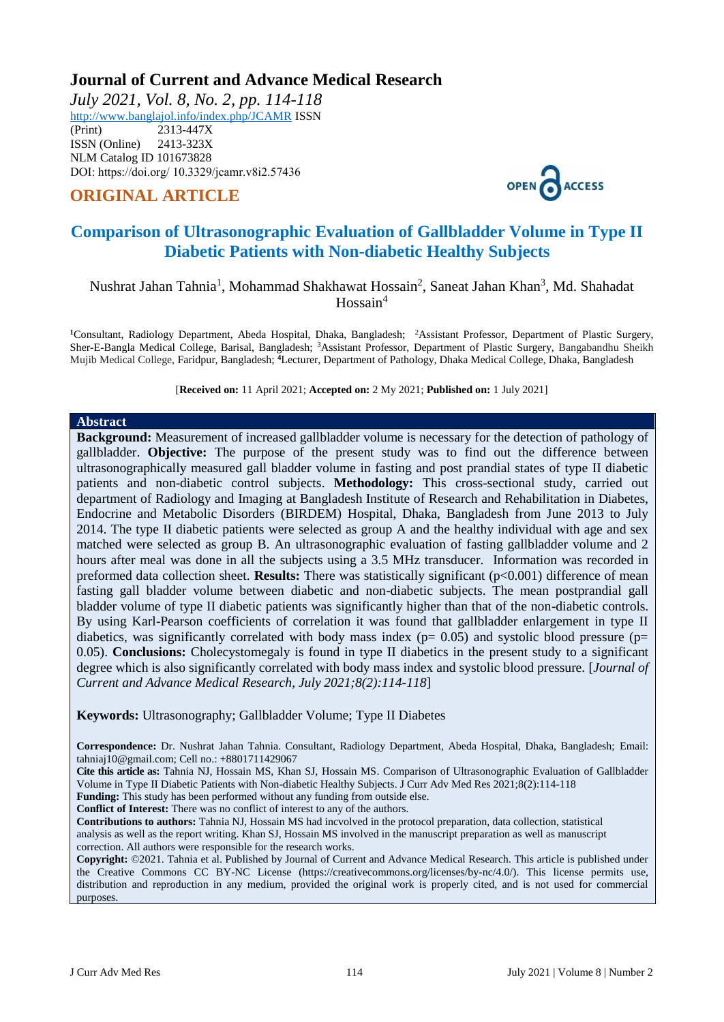# **Journal of Current and Advance Medical Research**

*July 2021, Vol. 8, No. 2, pp. 114-118* <http://www.banglajol.info/index.php/JCAMR>ISSN (Print) 2313-447X ISSN (Online) 2413-323X [NLM Catalog](https://www.ncbi.nlm.nih.gov/nlmcatalog/101673828) ID 101673828

DOI: https://doi.org/ 10.3329/jcamr.v8i2.57436

# **ORIGINAL ARTICLE**



# **Comparison of Ultrasonographic Evaluation of Gallbladder Volume in Type II Diabetic Patients with Non-diabetic Healthy Subjects**

## Nushrat Jahan Tahnia<sup>1</sup>, Mohammad Shakhawat Hossain<sup>2</sup>, Saneat Jahan Khan<sup>3</sup>, Md. Shahadat  $H$ ossain<sup>4</sup>

**<sup>1</sup>**Consultant, Radiology Department, Abeda Hospital, Dhaka, Bangladesh; <sup>2</sup>Assistant Professor, Department of Plastic Surgery, Sher-E-Bangla Medical College, Barisal, Bangladesh; <sup>3</sup>Assistant Professor, Department of Plastic Surgery, Bangabandhu Sheikh Mujib Medical College, Faridpur, Bangladesh; **<sup>4</sup>**Lecturer, Department of Pathology, Dhaka Medical College, Dhaka, Bangladesh

[**Received on:** 11 April 2021; **Accepted on:** 2 My 2021; **Published on:** 1 July 2021]

#### **Abstract**

**Background:** Measurement of increased gallbladder volume is necessary for the detection of pathology of gallbladder. **Objective:** The purpose of the present study was to find out the difference between ultrasonographically measured gall bladder volume in fasting and post prandial states of type II diabetic patients and non-diabetic control subjects. **Methodology:** This cross-sectional study, carried out department of Radiology and Imaging at Bangladesh Institute of Research and Rehabilitation in Diabetes, Endocrine and Metabolic Disorders (BIRDEM) Hospital, Dhaka, Bangladesh from June 2013 to July 2014. The type II diabetic patients were selected as group A and the healthy individual with age and sex matched were selected as group B. An ultrasonographic evaluation of fasting gallbladder volume and 2 hours after meal was done in all the subjects using a 3.5 MHz transducer. Information was recorded in preformed data collection sheet. **Results:** There was statistically significant (p<0.001) difference of mean fasting gall bladder volume between diabetic and non-diabetic subjects. The mean postprandial gall bladder volume of type II diabetic patients was significantly higher than that of the non-diabetic controls. By using Karl-Pearson coefficients of correlation it was found that gallbladder enlargement in type II diabetics, was significantly correlated with body mass index ( $p= 0.05$ ) and systolic blood pressure ( $p=$ 0.05). **Conclusions:** Cholecystomegaly is found in type II diabetics in the present study to a significant degree which is also significantly correlated with body mass index and systolic blood pressure. [*Journal of Current and Advance Medical Research, July 2021;8(2):114-118*]

**Keywords:** Ultrasonography; Gallbladder Volume; Type II Diabetes

**Correspondence:** Dr. Nushrat Jahan Tahnia. Consultant, Radiology Department, Abeda Hospital, Dhaka, Bangladesh; Email: [tahniaj10@gmail.com;](mailto:tahniaj10@gmail.com) Cell no.: +8801711429067

**Cite this article as:** Tahnia NJ, Hossain MS, Khan SJ, Hossain MS. Comparison of Ultrasonographic Evaluation of Gallbladder Volume in Type II Diabetic Patients with Non-diabetic Healthy Subjects. J Curr Adv Med Res 2021;8(2):114-118

**Funding:** This study has been performed without any funding from outside else.

**Conflict of Interest:** There was no conflict of interest to any of the authors.

**Contributions to authors:** Tahnia NJ, Hossain MS had incvolved in the protocol preparation, data collection, statistical analysis as well as the report writing. Khan SJ, Hossain MS involved in the manuscript preparation as well as manuscript correction. All authors were responsible for the research works.

**Copyright:** ©2021. Tahnia et al. Published by Journal of Current and Advance Medical Research. This article is published under the Creative Commons CC BY-NC License (https://creativecommons.org/licenses/by-nc/4.0/). This license permits use, distribution and reproduction in any medium, provided the original work is properly cited, and is not used for commercial purposes.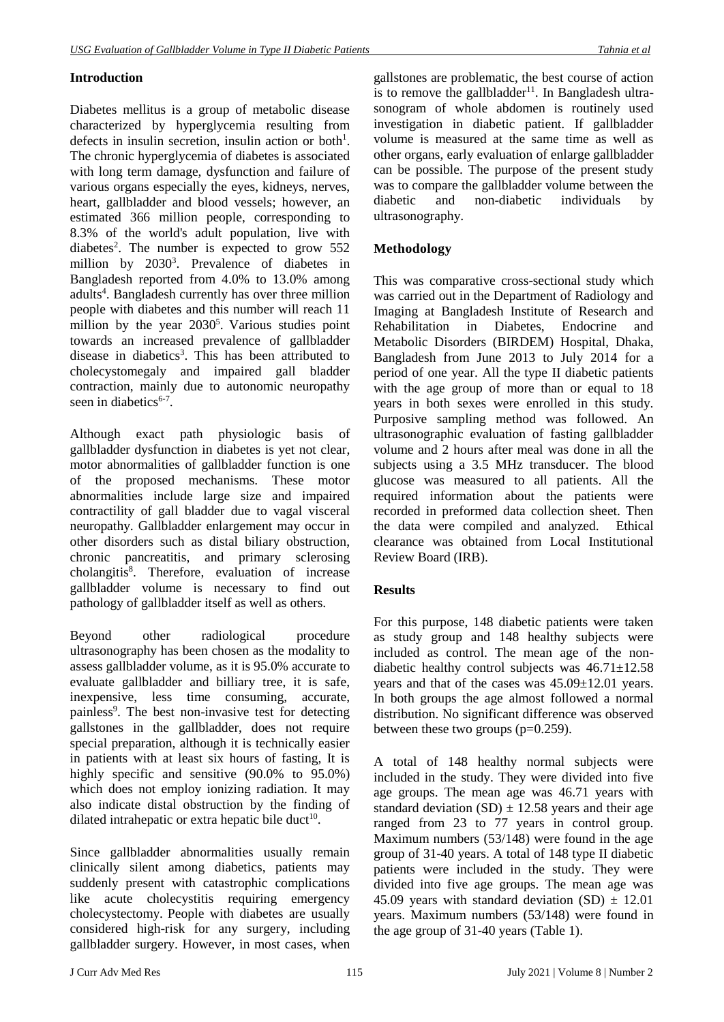## **Introduction**

Diabetes mellitus is a group of metabolic disease characterized by hyperglycemia resulting from defects in insulin secretion, insulin action or both<sup>1</sup>. The chronic hyperglycemia of diabetes is associated with long term damage, dysfunction and failure of various organs especially the eyes, kidneys, nerves, heart, gallbladder and blood vessels; however, an estimated 366 million people, corresponding to 8.3% of the world's adult population, live with diabetes<sup>2</sup>. The number is expected to grow  $552$ million by 2030<sup>3</sup>. Prevalence of diabetes in Bangladesh reported from 4.0% to 13.0% among adults<sup>4</sup>. Bangladesh currently has over three million people with diabetes and this number will reach 11 million by the year  $2030^5$ . Various studies point towards an increased prevalence of gallbladder disease in diabetics<sup>3</sup>. This has been attributed to cholecystomegaly and impaired gall bladder contraction, mainly due to autonomic neuropathy seen in diabetics<sup>6-7</sup>.

Although exact path physiologic basis of gallbladder dysfunction in diabetes is yet not clear, motor abnormalities of gallbladder function is one of the proposed mechanisms. These motor abnormalities include large size and impaired contractility of gall bladder due to vagal visceral neuropathy. Gallbladder enlargement may occur in other disorders such as distal biliary obstruction, chronic pancreatitis, and primary sclerosing cholangitis<sup>8</sup>. Therefore, evaluation of increase gallbladder volume is necessary to find out pathology of gallbladder itself as well as others.

Beyond other radiological procedure ultrasonography has been chosen as the modality to assess gallbladder volume, as it is 95.0% accurate to evaluate gallbladder and billiary tree, it is safe, inexpensive, less time consuming, accurate, painless<sup>9</sup>. The best non-invasive test for detecting gallstones in the gallbladder, does not require special preparation, although it is technically easier in patients with at least six hours of fasting, It is highly specific and sensitive (90.0% to 95.0%) which does not employ ionizing radiation. It may also indicate distal obstruction by the finding of dilated intrahepatic or extra hepatic bile duct<sup>10</sup>.

Since gallbladder abnormalities usually remain clinically silent among diabetics, patients may suddenly present with catastrophic complications like acute cholecystitis requiring emergency cholecystectomy. People with diabetes are usually considered high-risk for any surgery, including gallbladder surgery. However, in most cases, when gallstones are problematic, the best course of action is to remove the gallbladder<sup>11</sup>. In Bangladesh ultrasonogram of whole abdomen is routinely used investigation in diabetic patient. If gallbladder volume is measured at the same time as well as other organs, early evaluation of enlarge gallbladder can be possible. The purpose of the present study was to compare the gallbladder volume between the diabetic and non-diabetic individuals by ultrasonography.

## **Methodology**

This was comparative cross-sectional study which was carried out in the Department of Radiology and Imaging at Bangladesh Institute of Research and Rehabilitation in Diabetes, Endocrine and Metabolic Disorders (BIRDEM) Hospital, Dhaka, Bangladesh from June 2013 to July 2014 for a period of one year. All the type II diabetic patients with the age group of more than or equal to 18 years in both sexes were enrolled in this study. Purposive sampling method was followed. An ultrasonographic evaluation of fasting gallbladder volume and 2 hours after meal was done in all the subjects using a 3.5 MHz transducer. The blood glucose was measured to all patients. All the required information about the patients were recorded in preformed data collection sheet. Then the data were compiled and analyzed. Ethical clearance was obtained from Local Institutional Review Board (IRB).

### **Results**

For this purpose, 148 diabetic patients were taken as study group and 148 healthy subjects were included as control. The mean age of the nondiabetic healthy control subjects was  $46.71 \pm 12.58$ years and that of the cases was 45.09±12.01 years. In both groups the age almost followed a normal distribution. No significant difference was observed between these two groups  $(p=0.259)$ .

A total of 148 healthy normal subjects were included in the study. They were divided into five age groups. The mean age was 46.71 years with standard deviation  $(SD) \pm 12.58$  years and their age ranged from 23 to 77 years in control group. Maximum numbers (53/148) were found in the age group of 31-40 years. A total of 148 type II diabetic patients were included in the study. They were divided into five age groups. The mean age was 45.09 years with standard deviation  $(SD) \pm 12.01$ years. Maximum numbers (53/148) were found in the age group of 31-40 years (Table 1).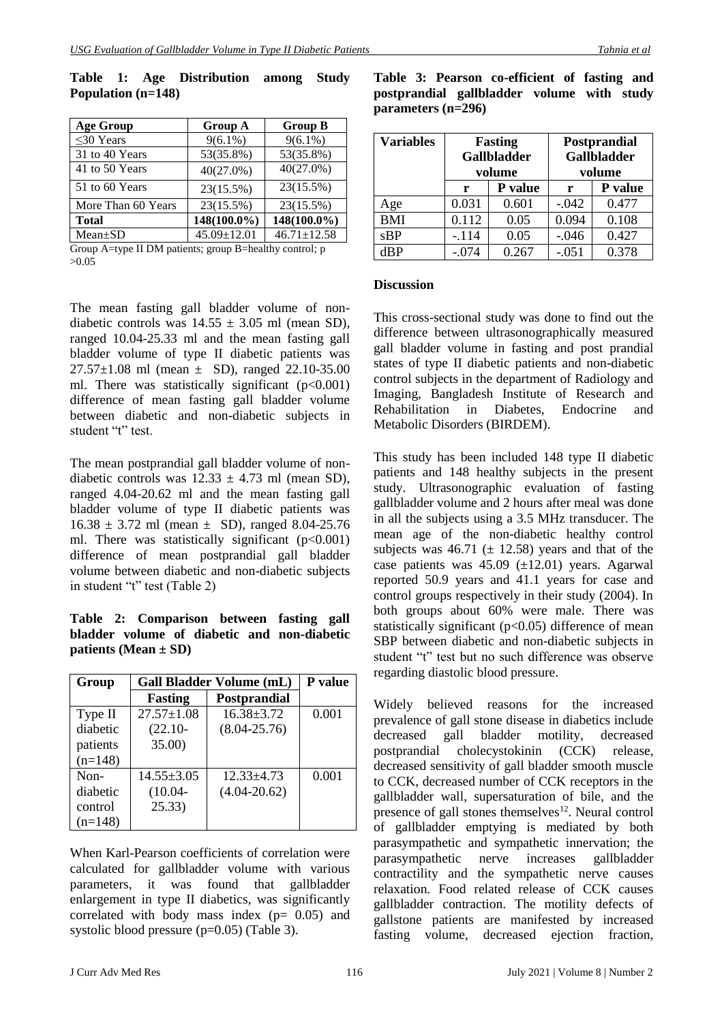| <b>Age Group</b>   | <b>Group A</b> | <b>Group B</b>    |
|--------------------|----------------|-------------------|
| $\leq$ 30 Years    | $9(6.1\%)$     | $9(6.1\%)$        |
| 31 to 40 Years     | 53(35.8%)      | 53(35.8%)         |
| 41 to 50 Years     | 40(27.0%)      | $40(27.0\%)$      |
| 51 to 60 Years     | 23(15.5%)      | 23(15.5%)         |
| More Than 60 Years | 23(15.5%)      | 23(15.5%)         |
| <b>Total</b>       | 148(100.0%)    | 148(100.0%)       |
| $Mean \pm SD$      | 45.09±12.01    | $46.71 \pm 12.58$ |

**Table 1: Age Distribution among Study Population (n=148)**

Group A=type II DM patients; group B=healthy control; p >0.05

The mean fasting gall bladder volume of nondiabetic controls was  $14.55 \pm 3.05$  ml (mean SD), ranged 10.04-25.33 ml and the mean fasting gall bladder volume of type II diabetic patients was  $27.57\pm1.08$  ml (mean  $\pm$  SD), ranged 22.10-35.00 ml. There was statistically significant  $(p<0.001)$ difference of mean fasting gall bladder volume between diabetic and non-diabetic subjects in student "t" test.

The mean postprandial gall bladder volume of nondiabetic controls was  $12.33 \pm 4.73$  ml (mean SD), ranged 4.04-20.62 ml and the mean fasting gall bladder volume of type II diabetic patients was  $16.38 \pm 3.72$  ml (mean  $\pm$  SD), ranged 8.04-25.76 ml. There was statistically significant  $(p<0.001)$ difference of mean postprandial gall bladder volume between diabetic and non-diabetic subjects in student "t" test (Table 2)

### **Table 2: Comparison between fasting gall bladder volume of diabetic and non-diabetic patients (Mean ± SD)**

| Group     | <b>Gall Bladder Volume (mL)</b> | <b>P</b> value      |       |
|-----------|---------------------------------|---------------------|-------|
|           | Fasting                         | <b>Postprandial</b> |       |
| Type II   | $27.57 \pm 1.08$                | $16.38 \pm 3.72$    | 0.001 |
| diabetic  | $(22.10 -$                      | $(8.04 - 25.76)$    |       |
| patients  | 35.00                           |                     |       |
| $(n=148)$ |                                 |                     |       |
| $Non-$    | $14.55 \pm 3.05$                | $12.33 \pm 4.73$    | 0.001 |
| diabetic  | $(10.04 -$                      | $(4.04 - 20.62)$    |       |
| control   | 25.33)                          |                     |       |
| $(n=148)$ |                                 |                     |       |

When Karl-Pearson coefficients of correlation were calculated for gallbladder volume with various parameters, it was found that gallbladder enlargement in type II diabetics, was significantly correlated with body mass index  $(p= 0.05)$  and systolic blood pressure (p=0.05) (Table 3).

| <b>Variables</b> | <b>Fasting</b><br><b>Gallbladder</b><br>volume |         |         | Postprandial<br><b>Gallbladder</b><br>volume |
|------------------|------------------------------------------------|---------|---------|----------------------------------------------|
|                  | r                                              | P value | r       | P value                                      |
| Age              | 0.031                                          | 0.601   | $-.042$ | 0.477                                        |
| <b>BMI</b>       | 0.112                                          | 0.05    | 0.094   | 0.108                                        |
| sBP              | $-.114$                                        | 0.05    | $-.046$ | 0.427                                        |
| dBP              | $-.074$                                        | 0.267   | $-.051$ | 0.378                                        |

### **Table 3: Pearson co-efficient of fasting and postprandial gallbladder volume with study parameters (n=296)**

#### **Discussion**

This cross-sectional study was done to find out the difference between ultrasonographically measured gall bladder volume in fasting and post prandial states of type II diabetic patients and non-diabetic control subjects in the department of Radiology and Imaging, Bangladesh Institute of Research and Rehabilitation in Diabetes, Endocrine and Metabolic Disorders (BIRDEM).

This study has been included 148 type II diabetic patients and 148 healthy subjects in the present study. Ultrasonographic evaluation of fasting gallbladder volume and 2 hours after meal was done in all the subjects using a 3.5 MHz transducer. The mean age of the non-diabetic healthy control subjects was 46.71 ( $\pm$  12.58) years and that of the case patients was  $45.09$  ( $\pm$ 12.01) years. Agarwal reported 50.9 years and 41.1 years for case and control groups respectively in their study (2004). In both groups about 60% were male. There was statistically significant  $(p<0.05)$  difference of mean SBP between diabetic and non-diabetic subjects in student "t" test but no such difference was observe regarding diastolic blood pressure.

Widely believed reasons for the increased prevalence of gall stone disease in diabetics include decreased gall bladder motility, decreased postprandial cholecystokinin (CCK) release, decreased sensitivity of gall bladder smooth muscle to CCK, decreased number of CCK receptors in the gallbladder wall, supersaturation of bile, and the presence of gall stones themselves $12$ . Neural control of gallbladder emptying is mediated by both parasympathetic and sympathetic innervation; the parasympathetic nerve increases gallbladder contractility and the sympathetic nerve causes relaxation. Food related release of CCK causes gallbladder contraction. The motility defects of gallstone patients are manifested by increased fasting volume, decreased ejection fraction,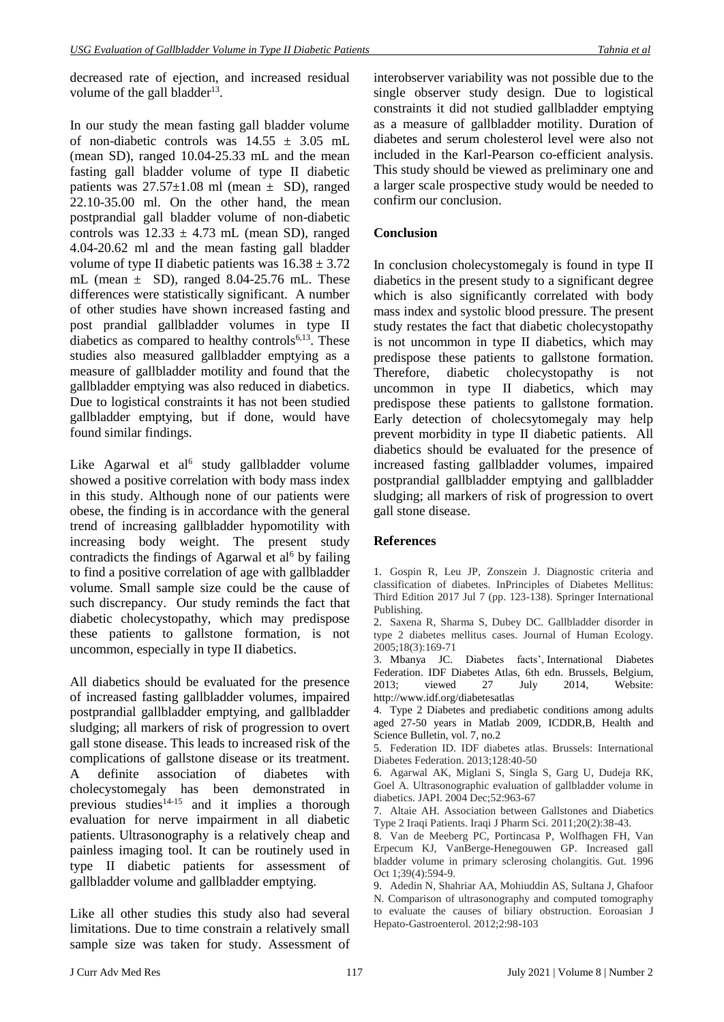decreased rate of ejection, and increased residual volume of the gall bladder $^{13}$ .

In our study the mean fasting gall bladder volume of non-diabetic controls was  $14.55 \pm 3.05$  mL (mean SD), ranged 10.04-25.33 mL and the mean fasting gall bladder volume of type II diabetic patients was  $27.57\pm1.08$  ml (mean  $\pm$  SD), ranged 22.10-35.00 ml. On the other hand, the mean postprandial gall bladder volume of non-diabetic controls was  $12.33 \pm 4.73$  mL (mean SD), ranged 4.04-20.62 ml and the mean fasting gall bladder volume of type II diabetic patients was  $16.38 \pm 3.72$ mL (mean  $\pm$  SD), ranged 8.04-25.76 mL. These differences were statistically significant. A number of other studies have shown increased fasting and post prandial gallbladder volumes in type II diabetics as compared to healthy controls $6,13$ . These studies also measured gallbladder emptying as a measure of gallbladder motility and found that the gallbladder emptying was also reduced in diabetics. Due to logistical constraints it has not been studied gallbladder emptying, but if done, would have found similar findings.

Like Agarwal et al<sup>6</sup> study gallbladder volume showed a positive correlation with body mass index in this study. Although none of our patients were obese, the finding is in accordance with the general trend of increasing gallbladder hypomotility with increasing body weight. The present study contradicts the findings of Agarwal et al<sup>6</sup> by failing to find a positive correlation of age with gallbladder volume. Small sample size could be the cause of such discrepancy. Our study reminds the fact that diabetic cholecystopathy, which may predispose these patients to gallstone formation, is not uncommon, especially in type II diabetics.

All diabetics should be evaluated for the presence of increased fasting gallbladder volumes, impaired postprandial gallbladder emptying, and gallbladder sludging; all markers of risk of progression to overt gall stone disease. This leads to increased risk of the complications of gallstone disease or its treatment. A definite association of diabetes with cholecystomegaly has been demonstrated in previous studies<sup>14-15</sup> and it implies a thorough evaluation for nerve impairment in all diabetic patients. Ultrasonography is a relatively cheap and painless imaging tool. It can be routinely used in type II diabetic patients for assessment of gallbladder volume and gallbladder emptying.

Like all other studies this study also had several limitations. Due to time constrain a relatively small sample size was taken for study. Assessment of interobserver variability was not possible due to the single observer study design. Due to logistical constraints it did not studied gallbladder emptying as a measure of gallbladder motility. Duration of diabetes and serum cholesterol level were also not included in the Karl-Pearson co-efficient analysis. This study should be viewed as preliminary one and a larger scale prospective study would be needed to confirm our conclusion.

### **Conclusion**

In conclusion cholecystomegaly is found in type II diabetics in the present study to a significant degree which is also significantly correlated with body mass index and systolic blood pressure. The present study restates the fact that diabetic cholecystopathy is not uncommon in type II diabetics, which may predispose these patients to gallstone formation. Therefore, diabetic cholecystopathy is not uncommon in type II diabetics, which may predispose these patients to gallstone formation. Early detection of cholecsytomegaly may help prevent morbidity in type II diabetic patients. All diabetics should be evaluated for the presence of increased fasting gallbladder volumes, impaired postprandial gallbladder emptying and gallbladder sludging; all markers of risk of progression to overt gall stone disease.

### **References**

1. Gospin R, Leu JP, Zonszein J. Diagnostic criteria and classification of diabetes. InPrinciples of Diabetes Mellitus: Third Edition 2017 Jul 7 (pp. 123-138). Springer International Publishing.

2. Saxena R, Sharma S, Dubey DC. Gallbladder disorder in type 2 diabetes mellitus cases. Journal of Human Ecology. 2005;18(3):169-71

3. Mbanya JC. Diabetes facts', International Diabetes Federation. IDF Diabetes Atlas, 6th edn. Brussels, Belgium, 2013; viewed 27 July 2014, Website: <http://www.idf.org/diabetesatlas>

4. Type 2 Diabetes and prediabetic conditions among adults aged 27-50 years in Matlab 2009, ICDDR,B, Health and Science Bulletin, vol. 7, no.2

5. Federation ID. IDF diabetes atlas. Brussels: International Diabetes Federation. 2013;128:40-50

6. Agarwal AK, Miglani S, Singla S, Garg U, Dudeja RK, Goel A. Ultrasonographic evaluation of gallbladder volume in diabetics. JAPI. 2004 Dec;52:963-67

7. Altaie AH. Association between Gallstones and Diabetics Type 2 Iraqi Patients. Iraqi J Pharm Sci. 2011;20(2):38-43.

8. Van de Meeberg PC, Portincasa P, Wolfhagen FH, Van Erpecum KJ, VanBerge-Henegouwen GP. Increased gall bladder volume in primary sclerosing cholangitis. Gut. 1996 Oct 1;39(4):594-9.

9. Adedin N, Shahriar AA, Mohiuddin AS, Sultana J, Ghafoor N. Comparison of ultrasonography and computed tomography to evaluate the causes of biliary obstruction. Eoroasian J Hepato-Gastroenterol. 2012;2:98-103